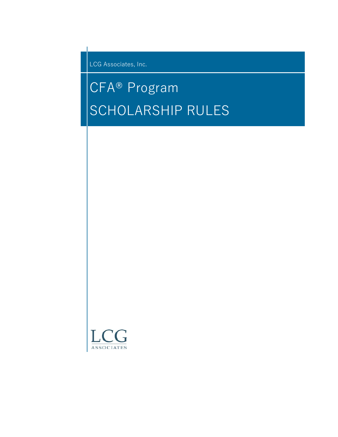LCG Associates, Inc.

# CFA® Program SCHOLARSHIP RULES

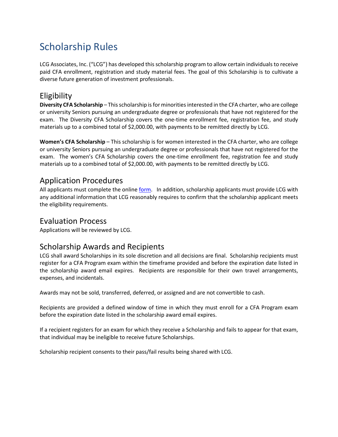# Scholarship Rules

LCG Associates, Inc. ("LCG") has developed this scholarship program to allow certain individuals to receive paid CFA enrollment, registration and study material fees. The goal of this Scholarship is to cultivate a diverse future generation of investment professionals.

#### **Eligibility**

**Diversity CFA Scholarship** – This scholarship is for minorities interested in the CFA charter, who are college or university Seniors pursuing an undergraduate degree or professionals that have not registered for the exam. The Diversity CFA Scholarship covers the one-time enrollment fee, registration fee, and study materials up to a combined total of \$2,000.00, with payments to be remitted directly by LCG.

**Women's CFA Scholarship** – This scholarship is for women interested in the CFA charter, who are college or university Seniors pursuing an undergraduate degree or professionals that have not registered for the exam. The women's CFA Scholarship covers the one-time enrollment fee, registration fee and study materials up to a combined total of \$2,000.00, with payments to be remitted directly by LCG.

### Application Procedures

All applicants must complete the online [form.](https://www.research.net/r/lcgcfascholar) In addition, scholarship applicants must provide LCG with any additional information that LCG reasonably requires to confirm that the scholarship applicant meets the eligibility requirements.

#### Evaluation Process

Applications will be reviewed by LCG.

## Scholarship Awards and Recipients

LCG shall award Scholarships in its sole discretion and all decisions are final. Scholarship recipients must register for a CFA Program exam within the timeframe provided and before the expiration date listed in the scholarship award email expires. Recipients are responsible for their own travel arrangements, expenses, and incidentals.

Awards may not be sold, transferred, deferred, or assigned and are not convertible to cash.

Recipients are provided a defined window of time in which they must enroll for a CFA Program exam before the expiration date listed in the scholarship award email expires.

If a recipient registers for an exam for which they receive a Scholarship and fails to appear for that exam, that individual may be ineligible to receive future Scholarships.

Scholarship recipient consents to their pass/fail results being shared with LCG.